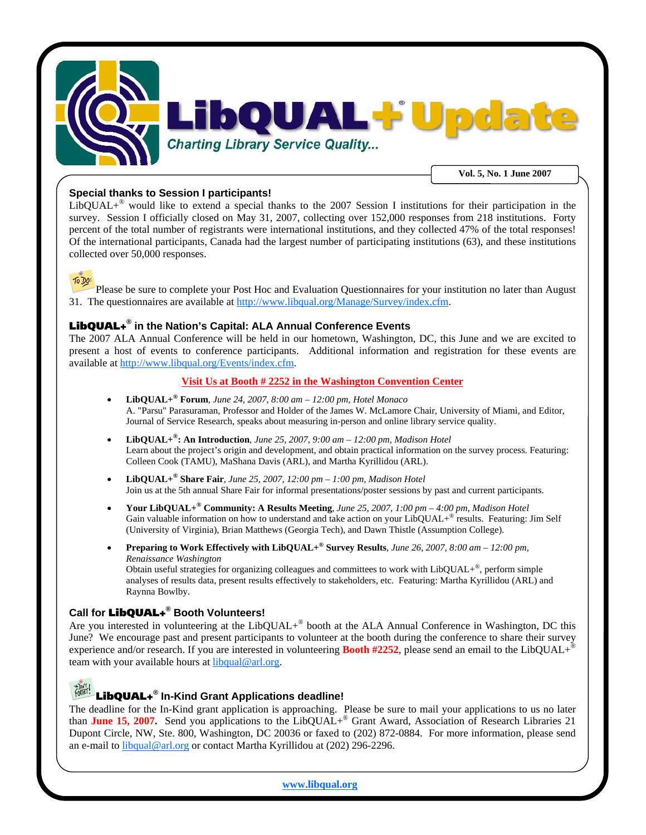

### **Special thanks to Session I participants!**

LibQUAL $+^{\circ}$  would like to extend a special thanks to the 2007 Session I institutions for their participation in the survey. Session I officially closed on May 31, 2007, collecting over 152,000 responses from 218 institutions. Forty percent of the total number of registrants were international institutions, and they collected 47% of the total responses! Of the international participants, Canada had the largest number of participating institutions (63), and these institutions collected over 50,000 responses.



Please be sure to complete your Post Hoc and Evaluation Questionnaires for your institution no later than August 31. The questionnaires are available at [http://www.libqual.org/Manage/Survey/index.cfm](http://old.libqual.org/Manage/Survey/index.cfm).

# LibQUAL+**® in the Nation's Capital: ALA Annual Conference Events**

The 2007 ALA Annual Conference will be held in our hometown, Washington, DC, this June and we are excited to present a host of events to conference participants. Additional information and registration for these events are available at [http://www.libqual.org/Events/index.cfm.](http://old.libqual.org/Events/index.cfm)

#### **Visit Us at Booth # 2252 in the Washington Convention Center**

- **LibQUAL+® Forum**, *June 24, 2007, 8:00 am 12:00 pm, Hotel Monaco*  A. "Parsu" Parasuraman, Professor and Holder of the James W. McLamore Chair, University of Miami, and Editor, Journal of Service Research, speaks about measuring in-person and online library service quality.
- **LibQUAL+®: An Introduction**, *June 25, 2007, 9:00 am 12:00 pm, Madison Hotel*  Learn about the project's origin and development, and obtain practical information on the survey process. Featuring: Colleen Cook (TAMU), MaShana Davis (ARL), and Martha Kyrillidou (ARL).
- **LibQUAL+® Share Fair**, *June 25, 2007, 12:00 pm 1:00 pm, Madison Hotel*  Join us at the 5th annual Share Fair for informal presentations/poster sessions by past and current participants.
- **Your LibQUAL+® Community: A Results Meeting**, *June 25, 2007, 1:00 pm 4:00 pm, Madison Hotel*  Gain valuable information on how to understand and take action on your LibQUAL+® results. Featuring: Jim Self (University of Virginia), Brian Matthews (Georgia Tech), and Dawn Thistle (Assumption College).
- **Preparing to Work Effectively with LibQUAL+® Survey Results**, *June 26, 2007, 8:00 am 12:00 pm, Renaissance Washington*  Obtain useful strategies for organizing colleagues and committees to work with LibQUAL+®, perform simple analyses of results data, present results effectively to stakeholders, etc. Featuring: Martha Kyrillidou (ARL) and Raynna Bowlby.

### **Call for** LibQUAL+**® Booth Volunteers!**

Are you interested in volunteering at the LibQUAL+® booth at the ALA Annual Conference in Washington, DC this June? We encourage past and present participants to volunteer at the booth during the conference to share their survey experience and/or research. If you are interested in volunteering **Booth #2252**, please send an email to the LibQUAL+ team with your available hours at [libqual@arl.org.](mailto:libqual@arl.org?subject=Volunteering%20for%20ACRL)

# LibQUAL+**® In-Kind Grant Applications deadline!**

The deadline for the In-Kind grant application is approaching. Please be sure to mail your applications to us no later than **June 15, 2007.** Send you applications to the LibQUAL+® Grant Award, Association of Research Libraries 21 Dupont Circle, NW, Ste. 800, Washington, DC 20036 or faxed to (202) 872-0884. For more information, please send an e-mail to [libqual@arl.org](mailto:libqual@arl.org?subject=LibQUAL+%20In-Kind%20Grant) or contact Martha Kyrillidou at (202) 296-2296.

**[www.libqual.org](http://old.libqual.org/)**